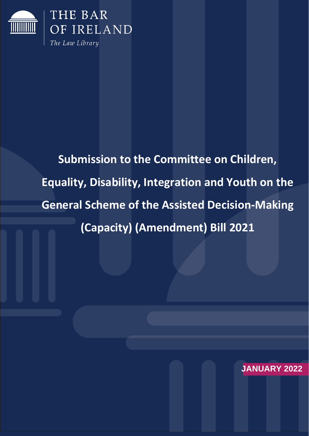

**Submission to the Committee on Children, Equality, Disability, Integration and Youth on the General Scheme of the Assisted Decision-Making (Capacity) (Amendment) Bill 2021**

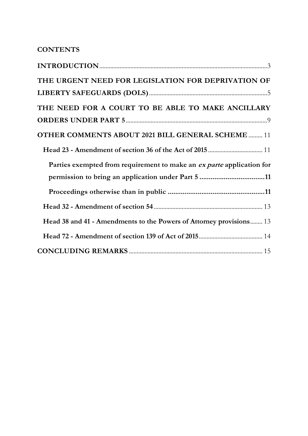# **CONTENTS**

| THE URGENT NEED FOR LEGISLATION FOR DEPRIVATION OF                    |
|-----------------------------------------------------------------------|
|                                                                       |
| THE NEED FOR A COURT TO BE ABLE TO MAKE ANCILLARY                     |
|                                                                       |
| <b>OTHER COMMENTS ABOUT 2021 BILL GENERAL SCHEME  11</b>              |
|                                                                       |
| Parties exempted from requirement to make an ex parte application for |
|                                                                       |
|                                                                       |
|                                                                       |
| Head 38 and 41 - Amendments to the Powers of Attorney provisions 13   |
|                                                                       |
|                                                                       |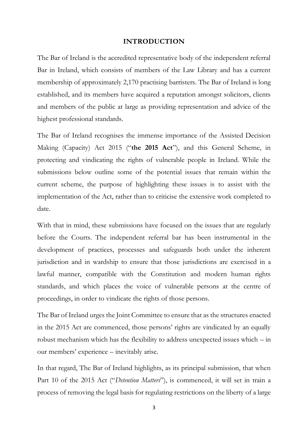#### **INTRODUCTION**

<span id="page-2-0"></span>The Bar of Ireland is the accredited representative body of the independent referral Bar in Ireland, which consists of members of the Law Library and has a current membership of approximately 2,170 practising barristers. The Bar of Ireland is long established, and its members have acquired a reputation amongst solicitors, clients and members of the public at large as providing representation and advice of the highest professional standards.

The Bar of Ireland recognises the immense importance of the Assisted Decision Making (Capacity) Act 2015 ("**the 2015 Act**"), and this General Scheme, in protecting and vindicating the rights of vulnerable people in Ireland. While the submissions below outline some of the potential issues that remain within the current scheme, the purpose of highlighting these issues is to assist with the implementation of the Act, rather than to criticise the extensive work completed to date.

With that in mind, these submissions have focused on the issues that are regularly before the Courts. The independent referral bar has been instrumental in the development of practices, processes and safeguards both under the inherent jurisdiction and in wardship to ensure that those jurisdictions are exercised in a lawful manner, compatible with the Constitution and modern human rights standards, and which places the voice of vulnerable persons at the centre of proceedings, in order to vindicate the rights of those persons.

The Bar of Ireland urges the Joint Committee to ensure that as the structures enacted in the 2015 Act are commenced, those persons' rights are vindicated by an equally robust mechanism which has the flexibility to address unexpected issues which – in our members' experience – inevitably arise.

In that regard, The Bar of Ireland highlights, as its principal submission, that when Part 10 of the 2015 Act ("*Detention Matters*"), is commenced, it will set in train a process of removing the legal basis for regulating restrictions on the liberty of a large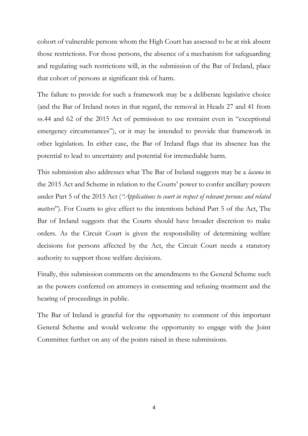cohort of vulnerable persons whom the High Court has assessed to be at risk absent those restrictions. For those persons, the absence of a mechanism for safeguarding and regulating such restrictions will, in the submission of the Bar of Ireland, place that cohort of persons at significant risk of harm.

The failure to provide for such a framework may be a deliberate legislative choice (and the Bar of Ireland notes in that regard, the removal in Heads 27 and 41 from ss.44 and 62 of the 2015 Act of permission to use restraint even in "exceptional emergency circumstances"), or it may be intended to provide that framework in other legislation. In either case, the Bar of Ireland flags that its absence has the potential to lead to uncertainty and potential for irremediable harm.

This submission also addresses what The Bar of Ireland suggests may be a *lacuna* in the 2015 Act and Scheme in relation to the Courts' power to confer ancillary powers under Part 5 of the 2015 Act (*"Applications to court in respect of relevant persons and related matters*"). For Courts to give effect to the intentions behind Part 5 of the Act, The Bar of Ireland suggests that the Courts should have broader discretion to make orders. As the Circuit Court is given the responsibility of determining welfare decisions for persons affected by the Act, the Circuit Court needs a statutory authority to support those welfare decisions.

Finally, this submission comments on the amendments to the General Scheme such as the powers conferred on attorneys in consenting and refusing treatment and the hearing of proceedings in public.

The Bar of Ireland is grateful for the opportunity to comment of this important General Scheme and would welcome the opportunity to engage with the Joint Committee further on any of the points raised in these submissions.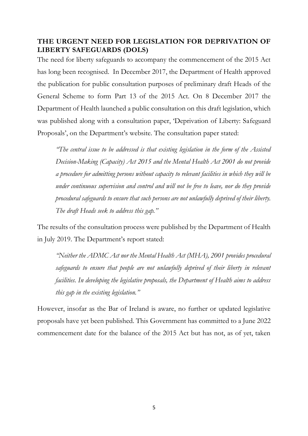## <span id="page-4-0"></span>**THE URGENT NEED FOR LEGISLATION FOR DEPRIVATION OF LIBERTY SAFEGUARDS (DOLS)**

The need for liberty safeguards to accompany the commencement of the 2015 Act has long been recognised. In December 2017, the Department of Health approved the publication for public consultation purposes of preliminary draft Heads of the General Scheme to form Part 13 of the 2015 Act. On 8 December 2017 the Department of Health launched a public consultation on this draft legislation, which was published along with a consultation paper, 'Deprivation of Liberty: Safeguard Proposals', on the Department's website. The consultation paper stated:

*"The central issue to be addressed is that existing legislation in the form of the Assisted Decision-Making (Capacity) Act 2015 and the Mental Health Act 2001 do not provide a procedure for admitting persons without capacity to relevant facilities in which they will be under continuous supervision and control and will not be free to leave, nor do they provide procedural safeguards to ensure that such persons are not unlawfully deprived of their liberty. The draft Heads seek to address this gap."*

The results of the consultation process were published by the Department of Health in July 2019. The Department's report stated:

*"Neither the ADMC Act nor the Mental Health Act (MHA), 2001 provides procedural safeguards to ensure that people are not unlawfully deprived of their liberty in relevant facilities. In developing the legislative proposals, the Department of Health aims to address this gap in the existing legislation."*

However, insofar as the Bar of Ireland is aware, no further or updated legislative proposals have yet been published. This Government has committed to a June 2022 commencement date for the balance of the 2015 Act but has not, as of yet, taken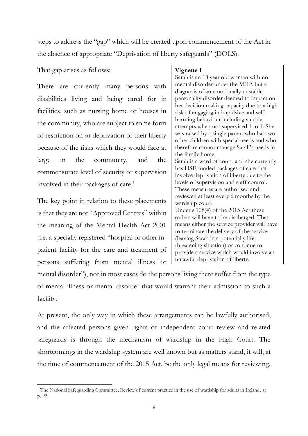steps to address the "gap" which will be created upon commencement of the Act in the absence of appropriate "Deprivation of liberty safeguards" (DOLS).

That gap arises as follows:

There are currently many persons with disabilities living and being cared for in facilities, such as nursing home or houses in the community, who are subject to some form of restriction on or deprivation of their liberty because of the risks which they would face at large in the community, and the commensurate level of security or supervision involved in their packages of care.<sup>1</sup>

The key point in relation to these placements is that they are not "Approved Centres" within the meaning of the Mental Health Act 2001 (i.e. a specially registered "hospital or other inpatient facility for the care and treatment of persons suffering from mental illness or

#### **Vignette 1**

Sarah is an 18 year old woman with no mental disorder under the MHA but a diagnosis of an emotionally unstable personality disorder deemed to impact on her decision making-capacity due to a high risk of engaging in impulsive and selfharming behaviour including suicide attempts when not supervised 1 to 1. She was raised by a single parent who has two other children with special needs and who therefore cannot manage Sarah's needs in the family home. Sarah is a ward of court, and she currently has HSE funded packages of care that involve deprivation of liberty due to the levels of supervision and staff control. These measures are authorised and reviewed at least every 6 months by the wardship court. Under s.108(4) of the 2015 Act these orders will have to be discharged. That means either the service provider will have

to terminate the delivery of the service (leaving Sarah in a potentially lifethreatening situation) or continue to provide a service which would involve an unlawful deprivation of liberty.

mental disorder"), nor in most cases do the persons living there suffer from the type of mental illness or mental disorder that would warrant their admission to such a facility.

At present, the only way in which these arrangements can be lawfully authorised, and the affected persons given rights of independent court review and related safeguards is through the mechanism of wardship in the High Court. The shortcomings in the wardship system are well known but as matters stand, it will, at the time of commencement of the 2015 Act, be the only legal means for reviewing,

<sup>&</sup>lt;sup>1</sup> The National Safeguarding Committee, Review of current practice in the use of wardship for adults in Ireland, at p. 92.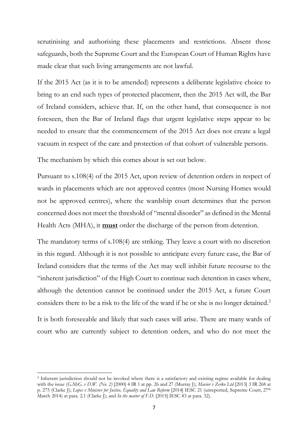scrutinising and authorising these placements and restrictions. Absent those safeguards, both the Supreme Court and the European Court of Human Rights have made clear that such living arrangements are not lawful.

If the 2015 Act (as it is to be amended) represents a deliberate legislative choice to bring to an end such types of protected placement, then the 2015 Act will, the Bar of Ireland considers, achieve that. If, on the other hand, that consequence is not foreseen, then the Bar of Ireland flags that urgent legislative steps appear to be needed to ensure that the commencement of the 2015 Act does not create a legal vacuum in respect of the care and protection of that cohort of vulnerable persons.

The mechanism by which this comes about is set out below.

Pursuant to s.108(4) of the 2015 Act, upon review of detention orders in respect of wards in placements which are not approved centres (most Nursing Homes would not be approved centres), where the wardship court determines that the person concerned does not meet the threshold of "mental disorder" as defined in the Mental Health Acts (MHA), it **must** order the discharge of the person from detention.

The mandatory terms of s.108(4) are striking. They leave a court with no discretion in this regard. Although it is not possible to anticipate every future case, the Bar of Ireland considers that the terms of the Act may well inhibit future recourse to the "inherent jurisdiction" of the High Court to continue such detention in cases where, although the detention cannot be continued under the 2015 Act, a future Court considers there to be a risk to the life of the ward if he or she is no longer detained.<sup>2</sup>

It is both foreseeable and likely that such cases will arise. There are many wards of court who are currently subject to detention orders, and who do not meet the

<sup>2</sup> Inherent jurisdiction should not be invoked where there is a satisfactory and existing regime available for dealing with the issue (*G.McG. v D.W. (No. 2)* [2000] 4 IR 1 at pp. 26 and 27 (Murray J); *Mavior v Zerko Ltd* [2013] 3 IR 268 at p. 275 (Clarke J); *Lopes v Minister for Justice, Equality and Law Reform* [2014] IESC 21 (unreported, Supreme Court, 27th March 2014) at para. 2.1 (Clarke J); and *In the matter of F.D.* [2015] IESC 83 at para. 32).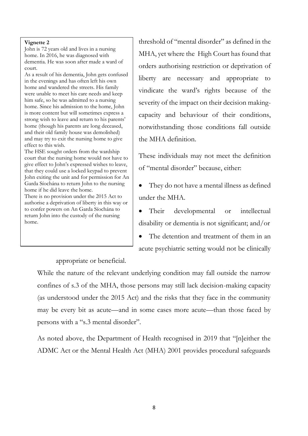#### **Vignette 2**

John is 72 years old and lives in a nursing home. In 2016, he was diagnosed with dementia. He was soon after made a ward of court.

As a result of his dementia, John gets confused in the evenings and has often left his own home and wandered the streets. His family were unable to meet his care needs and keep him safe, so he was admitted to a nursing home. Since his admission to the home, John is more content but will sometimes express a strong wish to leave and return to his parents' home (though his parents are long deceased, and their old family house was demolished) and may try to exit the nursing home to give effect to this wish.

The HSE sought orders from the wardship court that the nursing home would not have to give effect to John's expressed wishes to leave, that they could use a locked keypad to prevent John exiting the unit and for permission for An Garda Síochána to return John to the nursing home if he did leave the home.

There is no provision under the 2015 Act to authorise a deprivation of liberty in this way or to confer powers on An Garda Síochána to return John into the custody of the nursing home.

threshold of "mental disorder" as defined in the MHA, yet where the High Court has found that orders authorising restriction or deprivation of liberty are necessary and appropriate to vindicate the ward's rights because of the severity of the impact on their decision makingcapacity and behaviour of their conditions, notwithstanding those conditions fall outside the MHA definition.

These individuals may not meet the definition of "mental disorder" because, either:

They do not have a mental illness as defined under the MHA.

Their developmental or intellectual disability or dementia is not significant; and/or The detention and treatment of them in an acute psychiatric setting would not be clinically

appropriate or beneficial.

While the nature of the relevant underlying condition may fall outside the narrow confines of s.3 of the MHA, those persons may still lack decision-making capacity (as understood under the 2015 Act) and the risks that they face in the community may be every bit as acute—and in some cases more acute—than those faced by persons with a "s.3 mental disorder".

As noted above, the Department of Health recognised in 2019 that "[n]either the ADMC Act or the Mental Health Act (MHA) 2001 provides procedural safeguards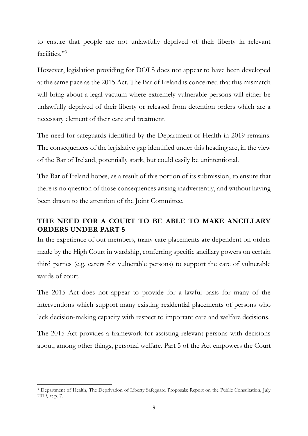to ensure that people are not unlawfully deprived of their liberty in relevant facilities."<sup>3</sup>

However, legislation providing for DOLS does not appear to have been developed at the same pace as the 2015 Act. The Bar of Ireland is concerned that this mismatch will bring about a legal vacuum where extremely vulnerable persons will either be unlawfully deprived of their liberty or released from detention orders which are a necessary element of their care and treatment.

The need for safeguards identified by the Department of Health in 2019 remains. The consequences of the legislative gap identified under this heading are, in the view of the Bar of Ireland, potentially stark, but could easily be unintentional.

The Bar of Ireland hopes, as a result of this portion of its submission, to ensure that there is no question of those consequences arising inadvertently, and without having been drawn to the attention of the Joint Committee.

### <span id="page-8-0"></span>**THE NEED FOR A COURT TO BE ABLE TO MAKE ANCILLARY ORDERS UNDER PART 5**

In the experience of our members, many care placements are dependent on orders made by the High Court in wardship, conferring specific ancillary powers on certain third parties (e.g. carers for vulnerable persons) to support the care of vulnerable wards of court.

The 2015 Act does not appear to provide for a lawful basis for many of the interventions which support many existing residential placements of persons who lack decision-making capacity with respect to important care and welfare decisions.

The 2015 Act provides a framework for assisting relevant persons with decisions about, among other things, personal welfare. Part 5 of the Act empowers the Court

<sup>3</sup> Department of Health, The Deprivation of Liberty Safeguard Proposals: Report on the Public Consultation, July 2019, at p. 7.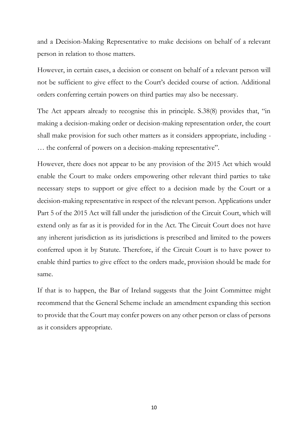and a Decision-Making Representative to make decisions on behalf of a relevant person in relation to those matters.

However, in certain cases, a decision or consent on behalf of a relevant person will not be sufficient to give effect to the Court's decided course of action. Additional orders conferring certain powers on third parties may also be necessary.

The Act appears already to recognise this in principle. S.38(8) provides that, "in making a decision-making order or decision-making representation order, the court shall make provision for such other matters as it considers appropriate, including - … the conferral of powers on a decision-making representative".

However, there does not appear to be any provision of the 2015 Act which would enable the Court to make orders empowering other relevant third parties to take necessary steps to support or give effect to a decision made by the Court or a decision-making representative in respect of the relevant person. Applications under Part 5 of the 2015 Act will fall under the jurisdiction of the Circuit Court, which will extend only as far as it is provided for in the Act. The Circuit Court does not have any inherent jurisdiction as its jurisdictions is prescribed and limited to the powers conferred upon it by Statute. Therefore, if the Circuit Court is to have power to enable third parties to give effect to the orders made, provision should be made for same.

If that is to happen, the Bar of Ireland suggests that the Joint Committee might recommend that the General Scheme include an amendment expanding this section to provide that the Court may confer powers on any other person or class of persons as it considers appropriate.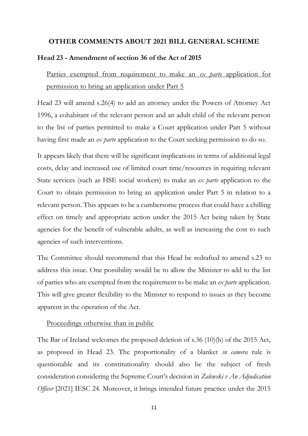### <span id="page-10-0"></span>**OTHER COMMENTS ABOUT 2021 BILL GENERAL SCHEME**

#### <span id="page-10-1"></span>**Head 23 - Amendment of section 36 of the Act of 2015**

<span id="page-10-2"></span>Parties exempted from requirement to make an *ex parte* application for permission to bring an application under Part 5

Head 23 will amend s.26(4) to add an attorney under the Powers of Attorney Act 1996, a cohabitant of the relevant person and an adult child of the relevant person to the list of parties permitted to make a Court application under Part 5 without having first made an *ex parte* application to the Court seeking permission to do so.

It appears likely that there will be significant implications in terms of additional legal costs, delay and increased use of limited court time/resources in requiring relevant State services (such as HSE social workers) to make an *ex parte* application to the Court to obtain permission to bring an application under Part 5 in relation to a relevant person. This appears to be a cumbersome process that could have a chilling effect on timely and appropriate action under the 2015 Act being taken by State agencies for the benefit of vulnerable adults, as well as increasing the cost to such agencies of such interventions.

The Committee should recommend that this Head be redrafted to amend s.23 to address this issue. One possibility would be to allow the Minister to add to the list of parties who are exempted from the requirement to be make an *ex parte* application. This will give greater flexibility to the Minister to respond to issues as they become apparent in the operation of the Act.

#### <span id="page-10-3"></span>Proceedings otherwise than in public

The Bar of Ireland welcomes the proposed deletion of s.36 (10)(b) of the 2015 Act, as proposed in Head 23. The proportionality of a blanket *in camera* rule is questionable and its constitutionality should also be the subject of fresh consideration considering the Supreme Court's decision in *Zalewski v An Adjudication Officer* [2021] IESC 24. Moreover, it brings intended future practice under the 2015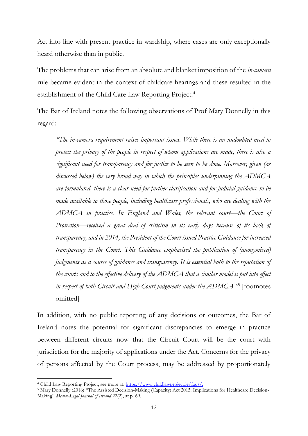Act into line with present practice in wardship, where cases are only exceptionally heard otherwise than in public.

The problems that can arise from an absolute and blanket imposition of the *in-camera*  rule became evident in the context of childcare hearings and these resulted in the establishment of the Child Care Law Reporting Project.<sup>4</sup>

The Bar of Ireland notes the following observations of Prof Mary Donnelly in this regard:

*"The in-camera requirement raises important issues. While there is an undoubted need to protect the privacy of the people in respect of whom applications are made, there is also a significant need for transparency and for justice to be seen to be done. Moreover, given (as discussed below) the very broad way in which the principles underpinning the ADMCA are formulated, there is a clear need for further clarification and for judicial guidance to be made available to those people, including healthcare professionals, who are dealing with the ADMCA in practice. In England and Wales, the relevant court—the Court of Protection—received a great deal of criticism in its early days because of its lack of transparency, and in 2014, the President of the Court issued Practice Guidance for increased transparency in the Court. This Guidance emphasised the publication of (anonymised) judgments as a source of guidance and transparency. It is essential both to the reputation of the courts and to the effective delivery of the ADMCA that a similar model is put into effect in respect of both Circuit and High Court judgments under the ADMCA."*<sup>5</sup> [footnotes omitted]

In addition, with no public reporting of any decisions or outcomes, the Bar of Ireland notes the potential for significant discrepancies to emerge in practice between different circuits now that the Circuit Court will be the court with jurisdiction for the majority of applications under the Act. Concerns for the privacy of persons affected by the Court process, may be addressed by proportionately

<sup>4</sup> Child Law Reporting Project, see more at[: https://www.childlawproject.ie/faqs/.](https://www.childlawproject.ie/faqs/)

<sup>5</sup> Mary Donnelly (2016) "The Assisted Decision-Making (Capacity) Act 2015: Implications for Healthcare Decision-Making" *Medico-Legal Journal of Ireland* 22(2), at p. 69.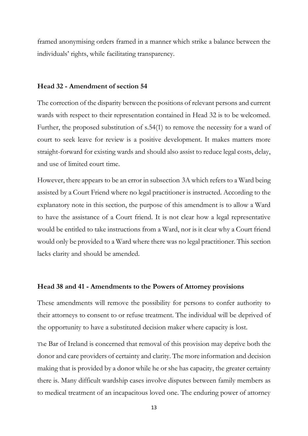framed anonymising orders framed in a manner which strike a balance between the individuals' rights, while facilitating transparency.

#### <span id="page-12-0"></span>**Head 32 - Amendment of section 54**

The correction of the disparity between the positions of relevant persons and current wards with respect to their representation contained in Head 32 is to be welcomed. Further, the proposed substitution of s.54(1) to remove the necessity for a ward of court to seek leave for review is a positive development. It makes matters more straight-forward for existing wards and should also assist to reduce legal costs, delay, and use of limited court time.

However, there appears to be an error in subsection 3A which refers to a Ward being assisted by a Court Friend where no legal practitioner is instructed. According to the explanatory note in this section, the purpose of this amendment is to allow a Ward to have the assistance of a Court friend. It is not clear how a legal representative would be entitled to take instructions from a Ward, nor is it clear why a Court friend would only be provided to a Ward where there was no legal practitioner. This section lacks clarity and should be amended.

#### <span id="page-12-1"></span>**Head 38 and 41 - Amendments to the Powers of Attorney provisions**

These amendments will remove the possibility for persons to confer authority to their attorneys to consent to or refuse treatment. The individual will be deprived of the opportunity to have a substituted decision maker where capacity is lost.

The Bar of Ireland is concerned that removal of this provision may deprive both the donor and care providers of certainty and clarity. The more information and decision making that is provided by a donor while he or she has capacity, the greater certainty there is. Many difficult wardship cases involve disputes between family members as to medical treatment of an incapacitous loved one. The enduring power of attorney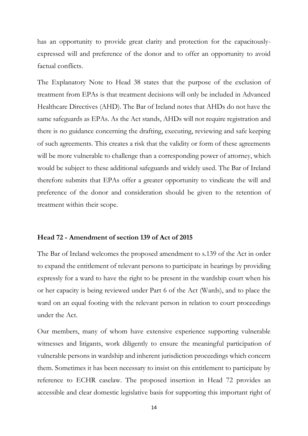has an opportunity to provide great clarity and protection for the capacitouslyexpressed will and preference of the donor and to offer an opportunity to avoid factual conflicts.

The Explanatory Note to Head 38 states that the purpose of the exclusion of treatment from EPAs is that treatment decisions will only be included in Advanced Healthcare Directives (AHD). The Bar of Ireland notes that AHDs do not have the same safeguards as EPAs. As the Act stands, AHDs will not require registration and there is no guidance concerning the drafting, executing, reviewing and safe keeping of such agreements. This creates a risk that the validity or form of these agreements will be more vulnerable to challenge than a corresponding power of attorney, which would be subject to these additional safeguards and widely used. The Bar of Ireland therefore submits that EPAs offer a greater opportunity to vindicate the will and preference of the donor and consideration should be given to the retention of treatment within their scope.

#### <span id="page-13-0"></span>**Head 72 - Amendment of section 139 of Act of 2015**

The Bar of Ireland welcomes the proposed amendment to s.139 of the Act in order to expand the entitlement of relevant persons to participate in hearings by providing expressly for a ward to have the right to be present in the wardship court when his or her capacity is being reviewed under Part 6 of the Act (Wards), and to place the ward on an equal footing with the relevant person in relation to court proceedings under the Act.

Our members, many of whom have extensive experience supporting vulnerable witnesses and litigants, work diligently to ensure the meaningful participation of vulnerable persons in wardship and inherent jurisdiction proceedings which concern them. Sometimes it has been necessary to insist on this entitlement to participate by reference to ECHR caselaw. The proposed insertion in Head 72 provides an accessible and clear domestic legislative basis for supporting this important right of